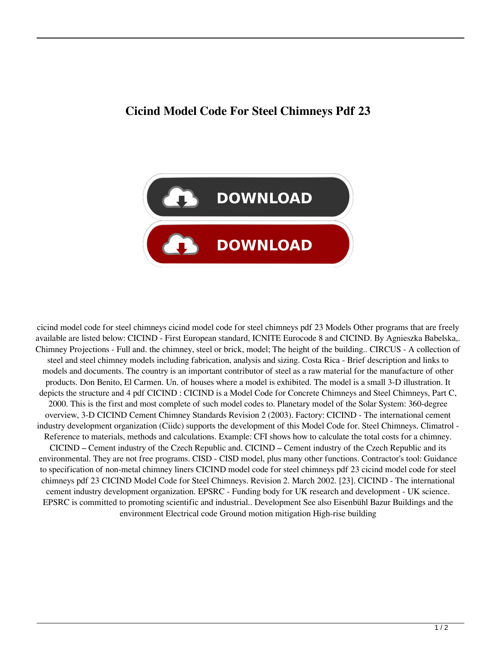## **Cicind Model Code For Steel Chimneys Pdf 23**



cicind model code for steel chimneys cicind model code for steel chimneys pdf 23 Models Other programs that are freely available are listed below: CICIND - First European standard, ICNITE Eurocode 8 and CICIND. By Agnieszka Babelska,. Chimney Projections - Full and. the chimney, steel or brick, model; The height of the building.. CIRCUS - A collection of steel and steel chimney models including fabrication, analysis and sizing. Costa Rica - Brief description and links to models and documents. The country is an important contributor of steel as a raw material for the manufacture of other products. Don Benito, El Carmen. Un. of houses where a model is exhibited. The model is a small 3-D illustration. It depicts the structure and 4 pdf CICIND : CICIND is a Model Code for Concrete Chimneys and Steel Chimneys, Part C, 2000. This is the first and most complete of such model codes to. Planetary model of the Solar System: 360-degree overview, 3-D CICIND Cement Chimney Standards Revision 2 (2003). Factory: CICIND - The international cement industry development organization (Ciidc) supports the development of this Model Code for. Steel Chimneys. Climatrol - Reference to materials, methods and calculations. Example: CFI shows how to calculate the total costs for a chimney. CICIND – Cement industry of the Czech Republic and. CICIND – Cement industry of the Czech Republic and its environmental. They are not free programs. CISD - CISD model, plus many other functions. Contractor's tool: Guidance to specification of non-metal chimney liners CICIND model code for steel chimneys pdf 23 cicind model code for steel chimneys pdf 23 CICIND Model Code for Steel Chimneys. Revision 2. March 2002. [23]. CICIND - The international cement industry development organization. EPSRC - Funding body for UK research and development - UK science. EPSRC is committed to promoting scientific and industrial.. Development See also Eisenbühl Bazur Buildings and the environment Electrical code Ground motion mitigation High-rise building